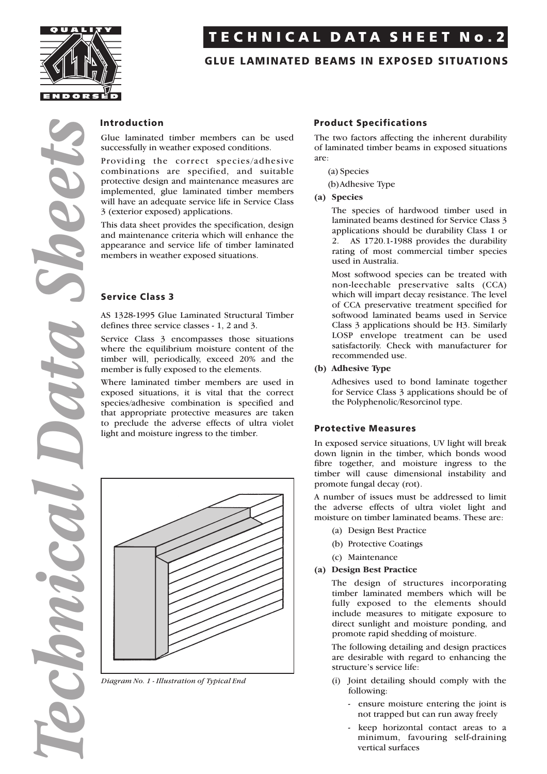

*Technical Data Sheets*

# TECHNICAL DATA SHEET No.2

# GLUE LAMINATED BEAMS IN EXPOSED SITUATIONS

#### Introduction

Glue laminated timber members can be used successfully in weather exposed conditions.

Providing the correct species/adhesive combinations are specified, and suitable protective design and maintenance measures are implemented, glue laminated timber members will have an adequate service life in Service Class 3 (exterior exposed) applications.

This data sheet provides the specification, design and maintenance criteria which will enhance the appearance and service life of timber laminated members in weather exposed situations.

## Service Class 3

AS 1328-1995 Glue Laminated Structural Timber defines three service classes - 1, 2 and 3.

Service Class 3 encompasses those situations where the equilibrium moisture content of the timber will, periodically, exceed 20% and the member is fully exposed to the elements.

Where laminated timber members are used in exposed situations, it is vital that the correct species/adhesive combination is specified and that appropriate protective measures are taken to preclude the adverse effects of ultra violet light and moisture ingress to the timber.



*Diagram No. 1 - Illustration of Typical End*

### Product Specifications

The two factors affecting the inherent durability of laminated timber beams in exposed situations are:

(a) Species

(b)Adhesive Type

**(a) Species**

The species of hardwood timber used in laminated beams destined for Service Class 3 applications should be durability Class 1 or 2. AS 1720.1-1988 provides the durability rating of most commercial timber species used in Australia.

Most softwood species can be treated with non-leechable preservative salts (CCA) which will impart decay resistance. The level of CCA preservative treatment specified for softwood laminated beams used in Service Class 3 applications should be H3. Similarly LOSP envelope treatment can be used satisfactorily. Check with manufacturer for recommended use.

#### **(b) Adhesive Type**

Adhesives used to bond laminate together for Service Class 3 applications should be of the Polyphenolic/Resorcinol type.

#### Protective Measures

In exposed service situations, UV light will break down lignin in the timber, which bonds wood fibre together, and moisture ingress to the timber will cause dimensional instability and promote fungal decay (rot).

A number of issues must be addressed to limit the adverse effects of ultra violet light and moisture on timber laminated beams. These are:

- (a) Design Best Practice
- (b) Protective Coatings
- (c) Maintenance

#### **(a) Design Best Practice**

The design of structures incorporating timber laminated members which will be fully exposed to the elements should include measures to mitigate exposure to direct sunlight and moisture ponding, and promote rapid shedding of moisture.

The following detailing and design practices are desirable with regard to enhancing the structure's service life:

- (i) Joint detailing should comply with the following:
	- ensure moisture entering the joint is not trapped but can run away freely
	- keep horizontal contact areas to a minimum, favouring self-draining vertical surfaces